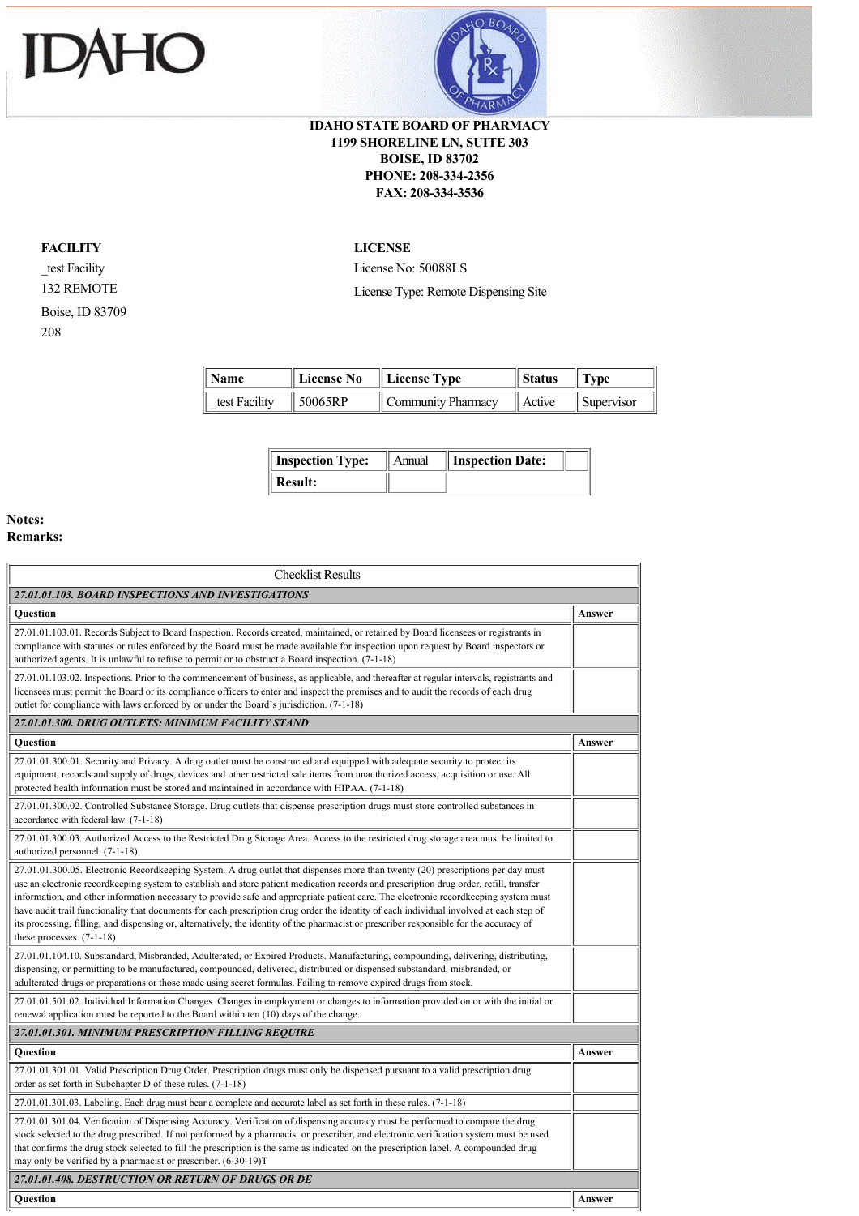



## **IDAHO STATE BOARD OF PHARMACY 1199 SHORELINE LN, SUITE 303 BOISE, ID 83702 PHONE: 208-334-2356 FAX: 208-334-3536**

## **FACILITY**

\_test Facility 132 REMOTE Boise, ID 83709 208

## **LICENSE**

License No: 50088LS License Type: Remote Dispensing Site

| $\parallel$ Name | License No          | $\parallel$ License Type | Status | $\parallel$ Type       |
|------------------|---------------------|--------------------------|--------|------------------------|
| test Facility    | $\parallel$ 50065RP | Community Pharmacy       | Active | $\parallel$ Supervisor |

| <b>Inspection Type:</b> | Annual | Inspection Date: |  |
|-------------------------|--------|------------------|--|
| Result:                 |        |                  |  |

## **Notes: Remarks:**

| <b>Checklist Results</b>                                                                                                                                                                                                                                                                                                                                                                                                                                                                                                                                                                                                                                                                                                              |        |  |  |
|---------------------------------------------------------------------------------------------------------------------------------------------------------------------------------------------------------------------------------------------------------------------------------------------------------------------------------------------------------------------------------------------------------------------------------------------------------------------------------------------------------------------------------------------------------------------------------------------------------------------------------------------------------------------------------------------------------------------------------------|--------|--|--|
| 27.01.01.103. BOARD INSPECTIONS AND INVESTIGATIONS                                                                                                                                                                                                                                                                                                                                                                                                                                                                                                                                                                                                                                                                                    |        |  |  |
| <b>Ouestion</b>                                                                                                                                                                                                                                                                                                                                                                                                                                                                                                                                                                                                                                                                                                                       | Answer |  |  |
| 27.01.01.103.01. Records Subject to Board Inspection. Records created, maintained, or retained by Board licensees or registrants in<br>compliance with statutes or rules enforced by the Board must be made available for inspection upon request by Board inspectors or<br>authorized agents. It is unlawful to refuse to permit or to obstruct a Board inspection. (7-1-18)                                                                                                                                                                                                                                                                                                                                                         |        |  |  |
| 27.01.01.103.02. Inspections. Prior to the commencement of business, as applicable, and thereafter at regular intervals, registrants and<br>licensees must permit the Board or its compliance officers to enter and inspect the premises and to audit the records of each drug<br>outlet for compliance with laws enforced by or under the Board's jurisdiction. (7-1-18)                                                                                                                                                                                                                                                                                                                                                             |        |  |  |
| 27.01.01.300. DRUG OUTLETS: MINIMUM FACILITY STAND                                                                                                                                                                                                                                                                                                                                                                                                                                                                                                                                                                                                                                                                                    |        |  |  |
| Question                                                                                                                                                                                                                                                                                                                                                                                                                                                                                                                                                                                                                                                                                                                              | Answer |  |  |
| 27.01.01.300.01. Security and Privacy. A drug outlet must be constructed and equipped with adequate security to protect its<br>equipment, records and supply of drugs, devices and other restricted sale items from unauthorized access, acquisition or use. All<br>protected health information must be stored and maintained in accordance with HIPAA. (7-1-18)                                                                                                                                                                                                                                                                                                                                                                     |        |  |  |
| 27.01.01.300.02. Controlled Substance Storage. Drug outlets that dispense prescription drugs must store controlled substances in<br>accordance with federal law. (7-1-18)                                                                                                                                                                                                                                                                                                                                                                                                                                                                                                                                                             |        |  |  |
| 27.01.01.300.03. Authorized Access to the Restricted Drug Storage Area. Access to the restricted drug storage area must be limited to<br>authorized personnel. (7-1-18)                                                                                                                                                                                                                                                                                                                                                                                                                                                                                                                                                               |        |  |  |
| 27.01.01.300.05. Electronic Recordkeeping System. A drug outlet that dispenses more than twenty (20) prescriptions per day must<br>use an electronic recordkeeping system to establish and store patient medication records and prescription drug order, refill, transfer<br>information, and other information necessary to provide safe and appropriate patient care. The electronic recordkeeping system must<br>have audit trail functionality that documents for each prescription drug order the identity of each individual involved at each step of<br>its processing, filling, and dispensing or, alternatively, the identity of the pharmacist or prescriber responsible for the accuracy of<br>these processes. $(7-1-18)$ |        |  |  |
| 27.01.01.104.10. Substandard, Misbranded, Adulterated, or Expired Products. Manufacturing, compounding, delivering, distributing,<br>dispensing, or permitting to be manufactured, compounded, delivered, distributed or dispensed substandard, misbranded, or<br>adulterated drugs or preparations or those made using secret formulas. Failing to remove expired drugs from stock.                                                                                                                                                                                                                                                                                                                                                  |        |  |  |
| 27.01.01.501.02. Individual Information Changes. Changes in employment or changes to information provided on or with the initial or<br>renewal application must be reported to the Board within ten (10) days of the change.                                                                                                                                                                                                                                                                                                                                                                                                                                                                                                          |        |  |  |
| 27.01.01.301. MINIMUM PRESCRIPTION FILLING REQUIRE                                                                                                                                                                                                                                                                                                                                                                                                                                                                                                                                                                                                                                                                                    |        |  |  |
| Question                                                                                                                                                                                                                                                                                                                                                                                                                                                                                                                                                                                                                                                                                                                              | Answer |  |  |
| 27.01.01.301.01. Valid Prescription Drug Order. Prescription drugs must only be dispensed pursuant to a valid prescription drug<br>order as set forth in Subchapter D of these rules. (7-1-18)                                                                                                                                                                                                                                                                                                                                                                                                                                                                                                                                        |        |  |  |
| 27.01.01.301.03. Labeling. Each drug must bear a complete and accurate label as set forth in these rules. (7-1-18)                                                                                                                                                                                                                                                                                                                                                                                                                                                                                                                                                                                                                    |        |  |  |
| 27.01.01.301.04. Verification of Dispensing Accuracy. Verification of dispensing accuracy must be performed to compare the drug<br>stock selected to the drug prescribed. If not performed by a pharmacist or prescriber, and electronic verification system must be used<br>that confirms the drug stock selected to fill the prescription is the same as indicated on the prescription label. A compounded drug<br>may only be verified by a pharmacist or prescriber. (6-30-19)T                                                                                                                                                                                                                                                   |        |  |  |
| 27.01.01.408. DESTRUCTION OR RETURN OF DRUGS OR DE                                                                                                                                                                                                                                                                                                                                                                                                                                                                                                                                                                                                                                                                                    |        |  |  |
| Ouestion                                                                                                                                                                                                                                                                                                                                                                                                                                                                                                                                                                                                                                                                                                                              | Answer |  |  |